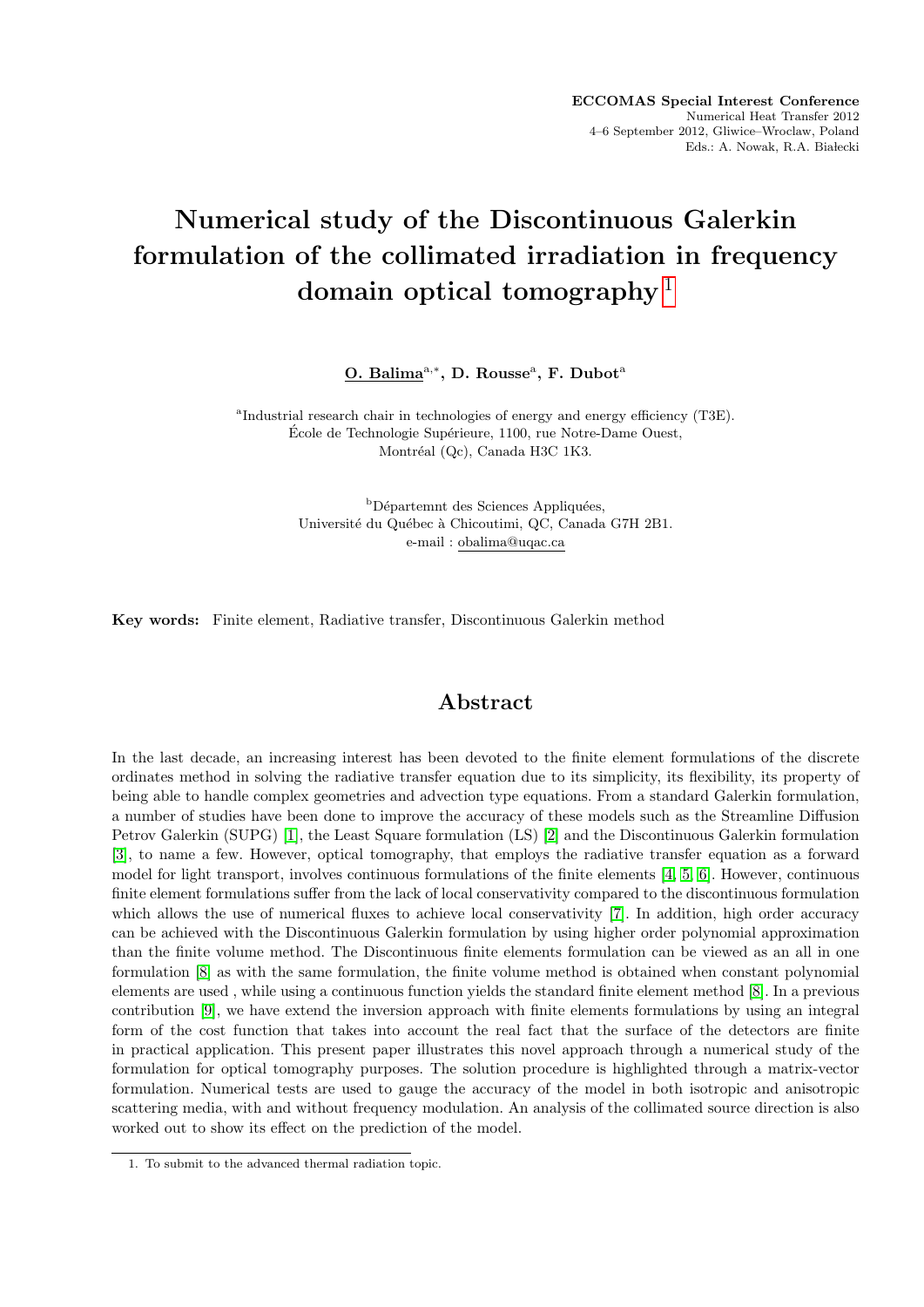## Numerical study of the Discontinuous Galerkin formulation of the collimated irradiation in frequency domain optical tomography  $1$

O. Balima<sup>a,\*</sup>, D. Rousse<sup>a</sup>, F. Dubot<sup>a</sup>

<sup>a</sup>Industrial research chair in technologies of energy and energy efficiency (T3E). École de Technologie Supérieure, 1100, rue Notre-Dame Ouest, Montréal (Qc), Canada H3C 1K3.

> <sup>b</sup>Départemnt des Sciences Appliquées, Université du Québec à Chicoutimi, QC, Canada G7H 2B1. e-mail : obalima@uqac.ca

Key words: Finite element, Radiative transfer, Discontinuous Galerkin method

## Abstract

In the last decade, an increasing interest has been devoted to the finite element formulations of the discrete ordinates method in solving the radiative transfer equation due to its simplicity, its flexibility, its property of being able to handle complex geometries and advection type equations. From a standard Galerkin formulation, a number of studies have been done to improve the accuracy of these models such as the Streamline Diffusion Petrov Galerkin (SUPG) [\[1\]](#page-1-0), the Least Square formulation (LS) [\[2\]](#page-1-1) and the Discontinuous Galerkin formulation [\[3\]](#page-1-2), to name a few. However, optical tomography, that employs the radiative transfer equation as a forward model for light transport, involves continuous formulations of the finite elements [\[4,](#page-1-3) [5,](#page-1-4) [6\]](#page-1-5). However, continuous finite element formulations suffer from the lack of local conservativity compared to the discontinuous formulation which allows the use of numerical fluxes to achieve local conservativity [\[7\]](#page-1-6). In addition, high order accuracy can be achieved with the Discontinuous Galerkin formulation by using higher order polynomial approximation than the finite volume method. The Discontinuous finite elements formulation can be viewed as an all in one formulation [\[8\]](#page-1-7) as with the same formulation, the finite volume method is obtained when constant polynomial elements are used , while using a continuous function yields the standard finite element method [\[8\]](#page-1-7). In a previous contribution [\[9\]](#page-1-8), we have extend the inversion approach with finite elements formulations by using an integral form of the cost function that takes into account the real fact that the surface of the detectors are finite in practical application. This present paper illustrates this novel approach through a numerical study of the formulation for optical tomography purposes. The solution procedure is highlighted through a matrix-vector formulation. Numerical tests are used to gauge the accuracy of the model in both isotropic and anisotropic scattering media, with and without frequency modulation. An analysis of the collimated source direction is also worked out to show its effect on the prediction of the model.

<span id="page-0-0"></span><sup>1.</sup> To submit to the advanced thermal radiation topic.